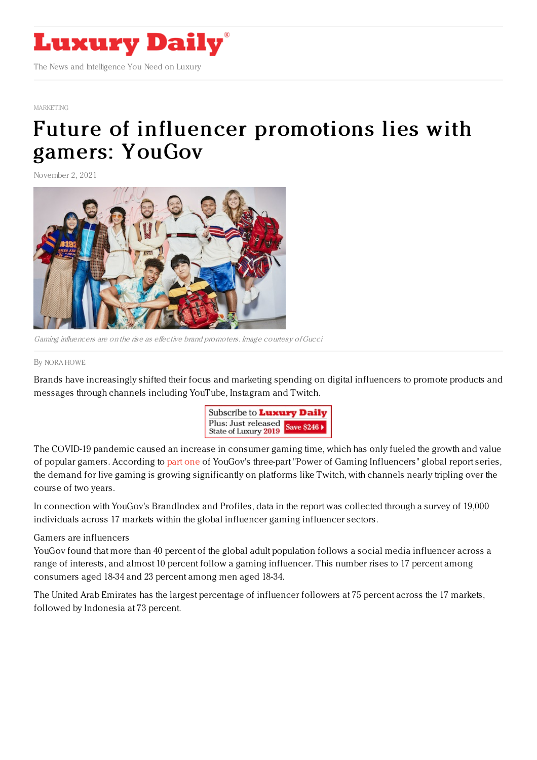

## [MARKETING](https://www.luxurydaily.com/category/sectors/marketing-industry-sectors/)

## Future of influencer [promotions](https://www.luxurydaily.com/gaming-influencers-yougov/) lies with gamers: YouGov

November 2, 2021



Gaming influencers are on the rise as effective brand promoters. Image courtesy of Gucci

## By NORA [HOWE](file:///author/nora-howe)

Brands have increasingly shifted their focus and marketing spending on digital influencers to promote products and messages through channels including YouTube, Instagram and Twitch.



The COVID-19 pandemic caused an increase in consumer gaming time, which has only fueled the growth and value of popular gamers. According to [part](https://business.yougov.com/content/38826-international-gaming-report-2021) one of YouGov's three-part "Power of Gaming Influencers" global report series, the demand for live gaming is growing significantly on platforms like Twitch, with channels nearly tripling over the course of two years.

In connection with YouGov's BrandIndex and Profiles, data in the report was collected through a survey of 19,000 individuals across 17 markets within the global influencer gaming influencer sectors.

## Gamers are influencers

YouGov found that more than 40 percent of the global adult population follows a social media influencer across a range of interests, and almost 10 percent follow a gaming influencer. This number rises to 17 percent among consumers aged 18-34 and 23 percent among men aged 18-34.

The United Arab Emirates has the largest percentage of influencer followers at 75 percent across the 17 markets, followed by Indonesia at 73 percent.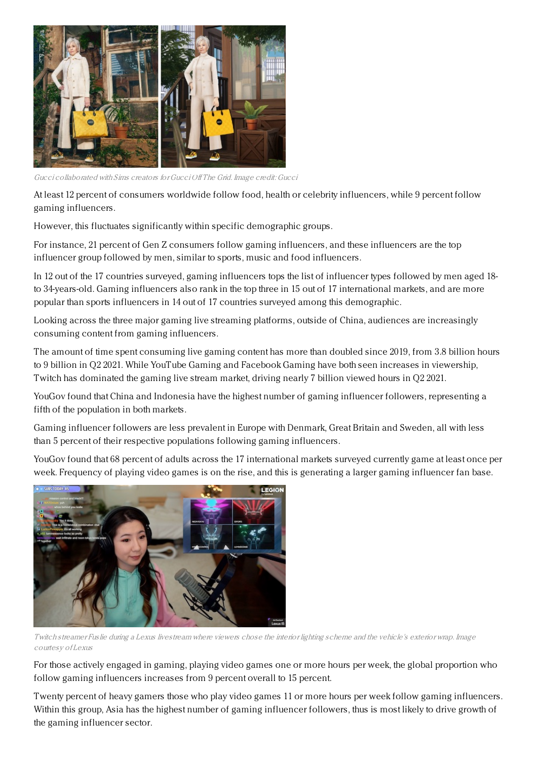

Gucci collaborated with Sims creators forGucci Of The Grid. Image credit: Gucci

At least 12 percent of consumers worldwide follow food, health or celebrity influencers, while 9 percent follow gaming influencers.

However, this fluctuates significantly within specific demographic groups.

For instance, 21 percent of Gen Z consumers follow gaming influencers, and these influencers are the top influencer group followed by men, similar to sports, music and food influencers.

In 12 out of the 17 countries surveyed, gaming influencers tops the list of influencer types followed by men aged 18 to 34-years-old. Gaming influencers also rank in the top three in 15 out of 17 international markets, and are more popular than sports influencers in 14 out of 17 countries surveyed among this demographic.

Looking across the three major gaming live streaming platforms, outside of China, audiences are increasingly consuming content from gaming influencers.

The amount of time spent consuming live gaming content has more than doubled since 2019, from 3.8 billion hours to 9 billion in Q2 2021. While YouTube Gaming and Facebook Gaming have both seen increases in viewership, Twitch has dominated the gaming live stream market, driving nearly 7 billion viewed hours in Q2 2021.

YouGov found that China and Indonesia have the highest number of gaming influencer followers, representing a fifth of the population in both markets.

Gaming influencer followers are less prevalent in Europe with Denmark, Great Britain and Sweden, all with less than 5 percent of their respective populations following gaming influencers.

YouGov found that 68 percent of adults across the 17 international markets surveyed currently game at least once per week. Frequency of playing video games is on the rise, and this is generating a larger gaming influencer fan base.



Twitch streamer Fuslie during <sup>a</sup> Lexus livestream where viewers chose the interior lighting scheme and the vehicle's exterior wrap. Image courtesy of Lexus

For those actively engaged in gaming, playing video games one or more hours per week, the global proportion who follow gaming influencers increases from 9 percent overall to 15 percent.

Twenty percent of heavy gamers those who play video games 11 or more hours per week follow gaming influencers. Within this group, Asia has the highest number of gaming influencer followers, thus is most likely to drive growth of the gaming influencer sector.